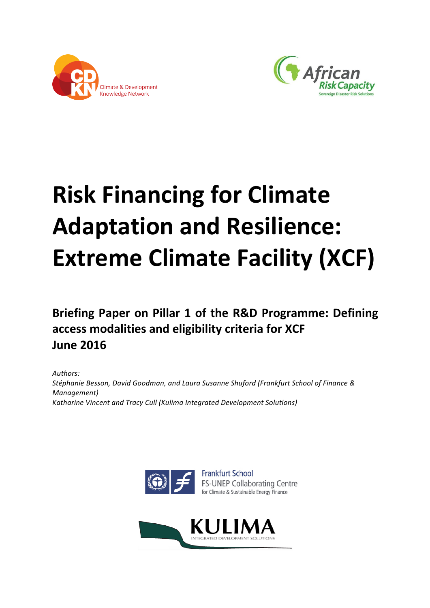



# **Risk Financing for Climate Adaptation and Resilience: Extreme Climate Facility (XCF)**

Briefing Paper on Pillar 1 of the R&D Programme: Defining **access modalities and eligibility criteria for XCF June 2016**

Authors: Stéphanie Besson, David Goodman, and Laura Susanne Shuford (Frankfurt School of Finance & *Management) Katharine Vincent and Tracy Cull (Kulima Integrated Development Solutions)* 



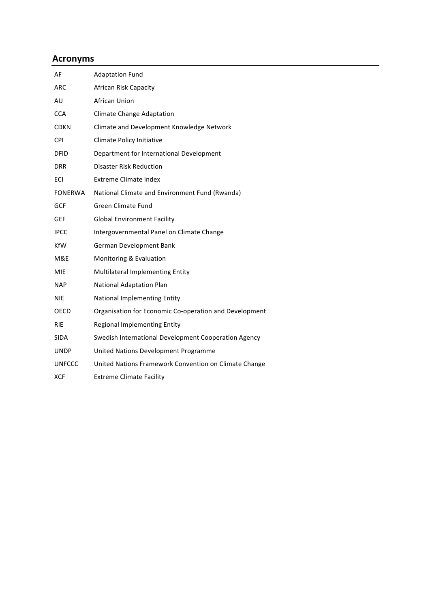## **Acronyms**

| AF             | <b>Adaptation Fund</b>                                 |
|----------------|--------------------------------------------------------|
| <b>ARC</b>     | African Risk Capacity                                  |
| AU             | African Union                                          |
| <b>CCA</b>     | <b>Climate Change Adaptation</b>                       |
| CDKN           | Climate and Development Knowledge Network              |
| <b>CPI</b>     | Climate Policy Initiative                              |
| <b>DFID</b>    | Department for International Development               |
| <b>DRR</b>     | <b>Disaster Risk Reduction</b>                         |
| ECI            | <b>Extreme Climate Index</b>                           |
| <b>FONERWA</b> | National Climate and Environment Fund (Rwanda)         |
| <b>GCF</b>     | <b>Green Climate Fund</b>                              |
| <b>GEF</b>     | <b>Global Environment Facility</b>                     |
| <b>IPCC</b>    | Intergovernmental Panel on Climate Change              |
| KfW            | German Development Bank                                |
| M&E            | Monitoring & Evaluation                                |
| MIE            | Multilateral Implementing Entity                       |
| <b>NAP</b>     | National Adaptation Plan                               |
| <b>NIE</b>     | National Implementing Entity                           |
| <b>OECD</b>    | Organisation for Economic Co-operation and Development |
| <b>RIE</b>     | <b>Regional Implementing Entity</b>                    |
| <b>SIDA</b>    | Swedish International Development Cooperation Agency   |
| <b>UNDP</b>    | United Nations Development Programme                   |
| <b>UNFCCC</b>  | United Nations Framework Convention on Climate Change  |
| <b>XCF</b>     | <b>Extreme Climate Facility</b>                        |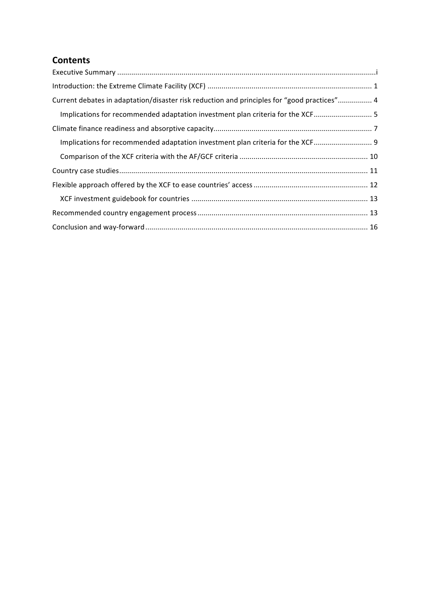# **Contents**

| Current debates in adaptation/disaster risk reduction and principles for "good practices" 4 |
|---------------------------------------------------------------------------------------------|
| Implications for recommended adaptation investment plan criteria for the XCF 5              |
|                                                                                             |
| Implications for recommended adaptation investment plan criteria for the XCF 9              |
|                                                                                             |
|                                                                                             |
|                                                                                             |
|                                                                                             |
|                                                                                             |
|                                                                                             |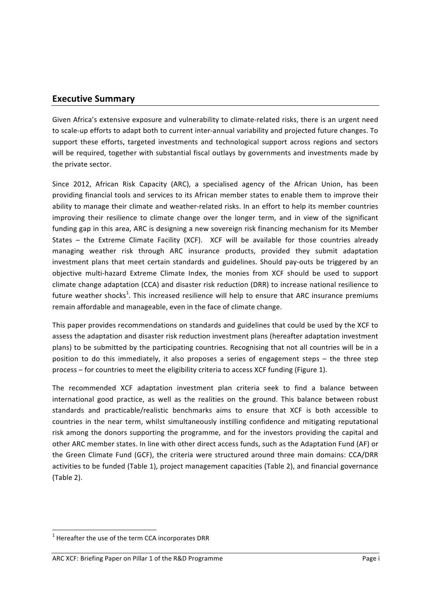## **Executive Summary**

Given Africa's extensive exposure and vulnerability to climate-related risks, there is an urgent need to scale-up efforts to adapt both to current inter-annual variability and projected future changes. To support these efforts, targeted investments and technological support across regions and sectors will be required, together with substantial fiscal outlays by governments and investments made by the private sector.

Since 2012, African Risk Capacity (ARC), a specialised agency of the African Union, has been providing financial tools and services to its African member states to enable them to improve their ability to manage their climate and weather-related risks. In an effort to help its member countries improving their resilience to climate change over the longer term, and in view of the significant funding gap in this area, ARC is designing a new sovereign risk financing mechanism for its Member States  $-$  the Extreme Climate Facility (XCF). XCF will be available for those countries already managing weather risk through ARC insurance products, provided they submit adaptation investment plans that meet certain standards and guidelines. Should pay-outs be triggered by an objective multi-hazard Extreme Climate Index, the monies from XCF should be used to support climate change adaptation (CCA) and disaster risk reduction (DRR) to increase national resilience to future weather shocks<sup>1</sup>. This increased resilience will help to ensure that ARC insurance premiums remain affordable and manageable, even in the face of climate change.

This paper provides recommendations on standards and guidelines that could be used by the XCF to assess the adaptation and disaster risk reduction investment plans (hereafter adaptation investment plans) to be submitted by the participating countries. Recognising that not all countries will be in a position to do this immediately, it also proposes a series of engagement steps – the three step process – for countries to meet the eligibility criteria to access XCF funding (Figure 1).

The recommended XCF adaptation investment plan criteria seek to find a balance between international good practice, as well as the realities on the ground. This balance between robust standards and practicable/realistic benchmarks aims to ensure that XCF is both accessible to countries in the near term, whilst simultaneously instilling confidence and mitigating reputational risk among the donors supporting the programme, and for the investors providing the capital and other ARC member states. In line with other direct access funds, such as the Adaptation Fund (AF) or the Green Climate Fund (GCF), the criteria were structured around three main domains: CCA/DRR activities to be funded (Table 1), project management capacities (Table 2), and financial governance  $(Table 2)$ .

<u> 1989 - Jan Samuel Barbara, margaret e</u>

 $1$  Hereafter the use of the term CCA incorporates DRR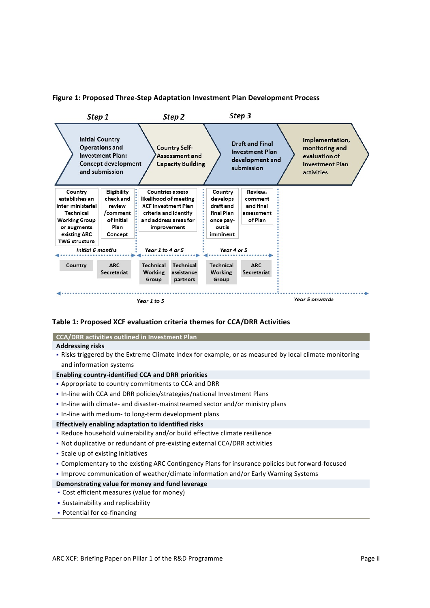



#### Table 1: Proposed XCF evaluation criteria themes for CCA/DRR Activities

| <b>CCA/DRR</b> activities outlined in Investment Plan                                                  |  |  |  |
|--------------------------------------------------------------------------------------------------------|--|--|--|
| <b>Addressing risks</b>                                                                                |  |  |  |
| . Risks triggered by the Extreme Climate Index for example, or as measured by local climate monitoring |  |  |  |
| and information systems                                                                                |  |  |  |
| <b>Enabling country-identified CCA and DRR priorities</b>                                              |  |  |  |
| • Appropriate to country commitments to CCA and DRR                                                    |  |  |  |
| . In-line with CCA and DRR policies/strategies/national Investment Plans                               |  |  |  |
| . In-line with climate- and disaster-mainstreamed sector and/or ministry plans                         |  |  |  |
| . In-line with medium- to long-term development plans                                                  |  |  |  |
| Effectively enabling adaptation to identified risks                                                    |  |  |  |
| - Reduce household vulnerability and/or build effective climate resilience                             |  |  |  |
| • Not duplicative or redundant of pre-existing external CCA/DRR activities                             |  |  |  |
| • Scale up of existing initiatives                                                                     |  |  |  |
| • Complementary to the existing ARC Contingency Plans for insurance policies but forward-focused       |  |  |  |
| . Improve communication of weather/climate information and/or Early Warning Systems                    |  |  |  |

## Demonstrating value for money and fund leverage

- Cost efficient measures (value for money)
- Sustainability and replicability
- Potential for co-financing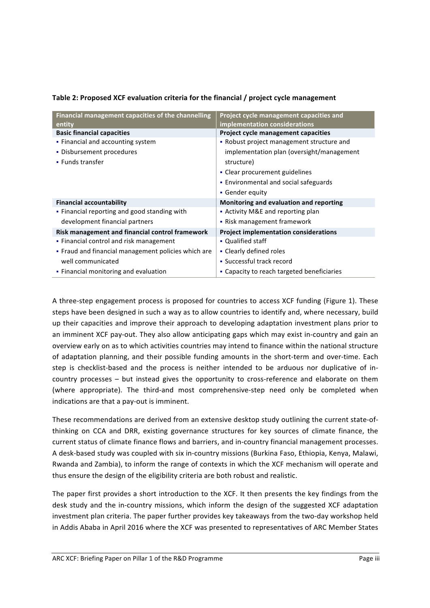| Financial management capacities of the channelling  | Project cycle management capacities and      |
|-----------------------------------------------------|----------------------------------------------|
| entity                                              | implementation considerations                |
| <b>Basic financial capacities</b>                   | Project cycle management capacities          |
| • Financial and accounting system                   | • Robust project management structure and    |
| • Disbursement procedures                           | implementation plan (oversight/management    |
| • Funds transfer                                    | structure)                                   |
|                                                     | • Clear procurement guidelines               |
|                                                     | • Environmental and social safeguards        |
|                                                     | • Gender equity                              |
| <b>Financial accountability</b>                     | Monitoring and evaluation and reporting      |
| • Financial reporting and good standing with        | • Activity M&E and reporting plan            |
| development financial partners                      | • Risk management framework                  |
| Risk management and financial control framework     | <b>Project implementation considerations</b> |
| • Financial control and risk management             | • Qualified staff                            |
| • Fraud and financial management policies which are | • Clearly defined roles                      |
| well communicated                                   | • Successful track record                    |
| • Financial monitoring and evaluation               | • Capacity to reach targeted beneficiaries   |

## **Table 2: Proposed XCF evaluation criteria for the financial / project cycle management**

A three-step engagement process is proposed for countries to access XCF funding (Figure 1). These steps have been designed in such a way as to allow countries to identify and, where necessary, build up their capacities and improve their approach to developing adaptation investment plans prior to an imminent XCF pay-out. They also allow anticipating gaps which may exist in-country and gain an overview early on as to which activities countries may intend to finance within the national structure of adaptation planning, and their possible funding amounts in the short-term and over-time. Each step is checklist-based and the process is neither intended to be arduous nor duplicative of incountry processes – but instead gives the opportunity to cross-reference and elaborate on them (where appropriate). The third-and most comprehensive-step need only be completed when indications are that a pay-out is imminent.

These recommendations are derived from an extensive desktop study outlining the current state-ofthinking on CCA and DRR, existing governance structures for key sources of climate finance, the current status of climate finance flows and barriers, and in-country financial management processes. A desk-based study was coupled with six in-country missions (Burkina Faso, Ethiopia, Kenya, Malawi, Rwanda and Zambia), to inform the range of contexts in which the XCF mechanism will operate and thus ensure the design of the eligibility criteria are both robust and realistic.

The paper first provides a short introduction to the XCF. It then presents the key findings from the desk study and the in-country missions, which inform the design of the suggested XCF adaptation investment plan criteria. The paper further provides key takeaways from the two-day workshop held in Addis Ababa in April 2016 where the XCF was presented to representatives of ARC Member States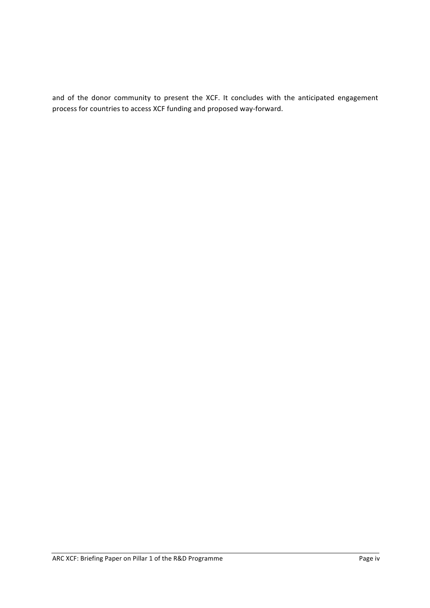and of the donor community to present the XCF. It concludes with the anticipated engagement process for countries to access XCF funding and proposed way-forward.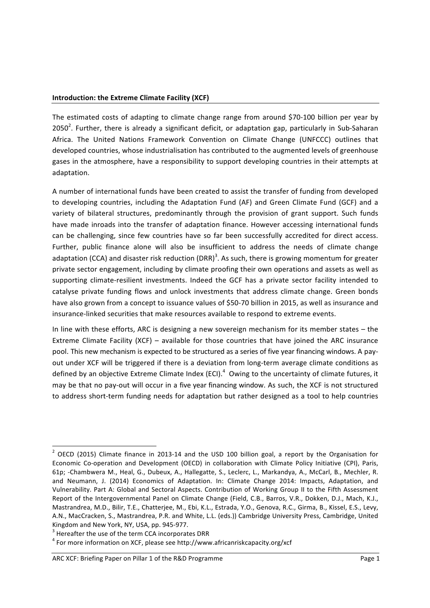## **Introduction: the Extreme Climate Facility (XCF)**

The estimated costs of adapting to climate change range from around \$70-100 billion per year by 2050<sup>2</sup>. Further, there is already a significant deficit, or adaptation gap, particularly in Sub-Saharan Africa. The United Nations Framework Convention on Climate Change (UNFCCC) outlines that developed countries, whose industrialisation has contributed to the augmented levels of greenhouse gases in the atmosphere, have a responsibility to support developing countries in their attempts at adaptation.

A number of international funds have been created to assist the transfer of funding from developed to developing countries, including the Adaptation Fund (AF) and Green Climate Fund (GCF) and a variety of bilateral structures, predominantly through the provision of grant support. Such funds have made inroads into the transfer of adaptation finance. However accessing international funds can be challenging, since few countries have so far been successfully accredited for direct access. Further, public finance alone will also be insufficient to address the needs of climate change adaptation (CCA) and disaster risk reduction (DRR)<sup>3</sup>. As such, there is growing momentum for greater private sector engagement, including by climate proofing their own operations and assets as well as supporting climate-resilient investments. Indeed the GCF has a private sector facility intended to catalyse private funding flows and unlock investments that address climate change. Green bonds have also grown from a concept to issuance values of \$50-70 billion in 2015, as well as insurance and insurance-linked securities that make resources available to respond to extreme events.

In line with these efforts, ARC is designing a new sovereign mechanism for its member states – the Extreme Climate Facility  $(XCF)$  – available for those countries that have joined the ARC insurance pool. This new mechanism is expected to be structured as a series of five year financing windows. A payout under XCF will be triggered if there is a deviation from long-term average climate conditions as defined by an objective Extreme Climate Index (ECI).<sup>4</sup> Owing to the uncertainty of climate futures, it may be that no pay-out will occur in a five year financing window. As such, the XCF is not structured to address short-term funding needs for adaptation but rather designed as a tool to help countries

 $<sup>2</sup>$  OECD (2015) Climate finance in 2013-14 and the USD 100 billion goal, a report by the Organisation for</sup> Economic Co-operation and Development (OECD) in collaboration with Climate Policy Initiative (CPI), Paris, 61p; -Chambwera M., Heal, G., Dubeux, A., Hallegatte, S., Leclerc, L., Markandya, A., McCarl, B., Mechler, R. and Neumann, J. (2014) Economics of Adaptation. In: Climate Change 2014: Impacts, Adaptation, and Vulnerability. Part A: Global and Sectoral Aspects. Contribution of Working Group II to the Fifth Assessment Report of the Intergovernmental Panel on Climate Change (Field, C.B., Barros, V.R., Dokken, D.J., Mach, K.J., Mastrandrea, M.D., Bilir, T.E., Chatterjee, M., Ebi, K.L., Estrada, Y.O., Genova, R.C., Girma, B., Kissel, E.S., Levy, A.N., MacCracken, S., Mastrandrea, P.R. and White, L.L. (eds.)) Cambridge University Press, Cambridge, United

Kingdom and New York, NY, USA, pp. 945-977.<br>
<sup>3</sup> Hereafter the use of the term CCA incorporates DRR<br>
<sup>4</sup> For more information on XCF, please see http://www.africanriskcapacity.org/xcf

ARC XCF: Briefing Paper on Pillar 1 of the R&D Programme **Page 1** Page 1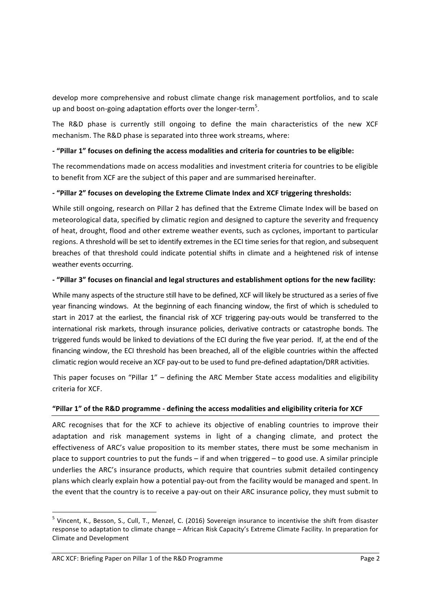develop more comprehensive and robust climate change risk management portfolios, and to scale up and boost on-going adaptation efforts over the longer-term<sup>5</sup>.

The R&D phase is currently still ongoing to define the main characteristics of the new XCF mechanism. The R&D phase is separated into three work streams, where:

## - "Pillar 1" focuses on defining the access modalities and criteria for countries to be eligible:

The recommendations made on access modalities and investment criteria for countries to be eligible to benefit from XCF are the subject of this paper and are summarised hereinafter.

## **- "Pillar 2" focuses on developing the Extreme Climate Index and XCF triggering thresholds:**

While still ongoing, research on Pillar 2 has defined that the Extreme Climate Index will be based on meteorological data, specified by climatic region and designed to capture the severity and frequency of heat, drought, flood and other extreme weather events, such as cyclones, important to particular regions. A threshold will be set to identify extremes in the ECI time series for that region, and subsequent breaches of that threshold could indicate potential shifts in climate and a heightened risk of intense weather events occurring.

## **- "Pillar 3" focuses on financial and legal structures and establishment options for the new facility:**

While many aspects of the structure still have to be defined, XCF will likely be structured as a series of five year financing windows. At the beginning of each financing window, the first of which is scheduled to start in 2017 at the earliest, the financial risk of XCF triggering pay-outs would be transferred to the international risk markets, through insurance policies, derivative contracts or catastrophe bonds. The triggered funds would be linked to deviations of the ECI during the five year period. If, at the end of the financing window, the ECI threshold has been breached, all of the eligible countries within the affected climatic region would receive an XCF pay-out to be used to fund pre-defined adaptation/DRR activities.

This paper focuses on "Pillar  $1"$  – defining the ARC Member State access modalities and eligibility criteria for XCF.

## **"Pillar 1" of the R&D programme - defining the access modalities and eligibility criteria for XCF**

ARC recognises that for the XCF to achieve its objective of enabling countries to improve their adaptation and risk management systems in light of a changing climate, and protect the effectiveness of ARC's value proposition to its member states, there must be some mechanism in place to support countries to put the funds  $-$  if and when triggered  $-$  to good use. A similar principle underlies the ARC's insurance products, which require that countries submit detailed contingency plans which clearly explain how a potential pay-out from the facility would be managed and spent. In the event that the country is to receive a pay-out on their ARC insurance policy, they must submit to

 $5$  Vincent, K., Besson, S., Cull, T., Menzel, C. (2016) Sovereign insurance to incentivise the shift from disaster response to adaptation to climate change – African Risk Capacity's Extreme Climate Facility. In preparation for Climate and Development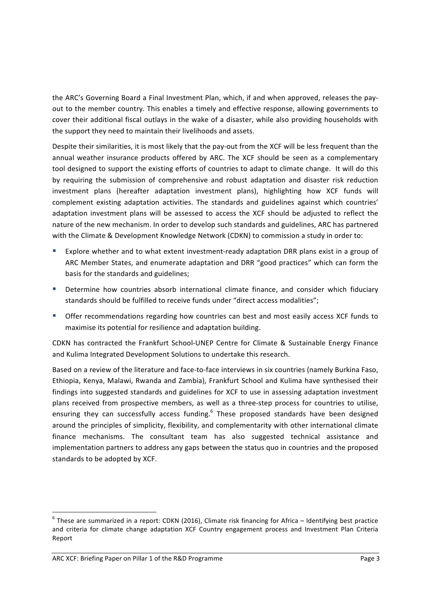the ARC's Governing Board a Final Investment Plan, which, if and when approved, releases the payout to the member country. This enables a timely and effective response, allowing governments to cover their additional fiscal outlays in the wake of a disaster, while also providing households with the support they need to maintain their livelihoods and assets.

Despite their similarities, it is most likely that the pay-out from the XCF will be less frequent than the annual weather insurance products offered by ARC. The XCF should be seen as a complementary tool designed to support the existing efforts of countries to adapt to climate change. It will do this by requiring the submission of comprehensive and robust adaptation and disaster risk reduction investment plans (hereafter adaptation investment plans), highlighting how XCF funds will complement existing adaptation activities. The standards and guidelines against which countries' adaptation investment plans will be assessed to access the XCF should be adjusted to reflect the nature of the new mechanism. In order to develop such standards and guidelines, ARC has partnered with the Climate & Development Knowledge Network (CDKN) to commission a study in order to:

- Explore whether and to what extent investment-ready adaptation DRR plans exist in a group of ARC Member States, and enumerate adaptation and DRR "good practices" which can form the basis for the standards and guidelines;
- Determine how countries absorb international climate finance, and consider which fiduciary standards should be fulfilled to receive funds under "direct access modalities";
- **•** Offer recommendations regarding how countries can best and most easily access XCF funds to maximise its potential for resilience and adaptation building.

CDKN has contracted the Frankfurt School-UNEP Centre for Climate & Sustainable Energy Finance and Kulima Integrated Development Solutions to undertake this research.

Based on a review of the literature and face-to-face interviews in six countries (namely Burkina Faso, Ethiopia, Kenya, Malawi, Rwanda and Zambia), Frankfurt School and Kulima have synthesised their findings into suggested standards and guidelines for XCF to use in assessing adaptation investment plans received from prospective members, as well as a three-step process for countries to utilise, ensuring they can successfully access funding.<sup>6</sup> These proposed standards have been designed around the principles of simplicity, flexibility, and complementarity with other international climate finance mechanisms. The consultant team has also suggested technical assistance and implementation partners to address any gaps between the status quo in countries and the proposed standards to be adopted by XCF.

 $6$  These are summarized in a report: CDKN (2016), Climate risk financing for Africa – Identifying best practice and criteria for climate change adaptation XCF Country engagement process and Investment Plan Criteria Report

ARC XCF: Briefing Paper on Pillar 1 of the R&D Programme Page 3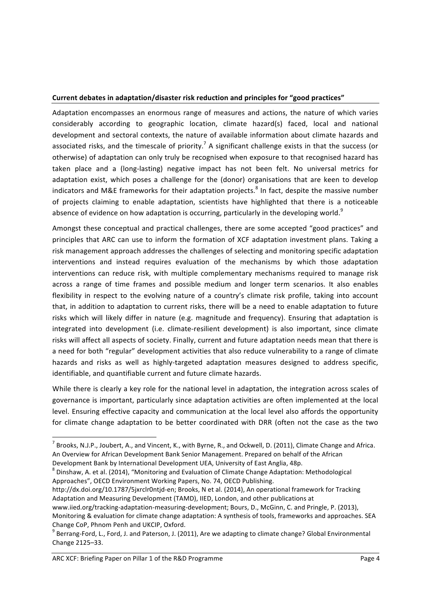## Current debates in adaptation/disaster risk reduction and principles for "good practices"

Adaptation encompasses an enormous range of measures and actions, the nature of which varies considerably according to geographic location, climate hazard(s) faced, local and national development and sectoral contexts, the nature of available information about climate hazards and associated risks, and the timescale of priority.<sup>7</sup> A significant challenge exists in that the success (or otherwise) of adaptation can only truly be recognised when exposure to that recognised hazard has taken place and a (long-lasting) negative impact has not been felt. No universal metrics for adaptation exist, which poses a challenge for the (donor) organisations that are keen to develop indicators and M&E frameworks for their adaptation projects.<sup>8</sup> In fact, despite the massive number of projects claiming to enable adaptation, scientists have highlighted that there is a noticeable absence of evidence on how adaptation is occurring, particularly in the developing world.<sup>9</sup>

Amongst these conceptual and practical challenges, there are some accepted "good practices" and principles that ARC can use to inform the formation of XCF adaptation investment plans. Taking a risk management approach addresses the challenges of selecting and monitoring specific adaptation interventions and instead requires evaluation of the mechanisms by which those adaptation interventions can reduce risk, with multiple complementary mechanisms required to manage risk across a range of time frames and possible medium and longer term scenarios. It also enables flexibility in respect to the evolving nature of a country's climate risk profile, taking into account that, in addition to adaptation to current risks, there will be a need to enable adaptation to future risks which will likely differ in nature (e.g. magnitude and frequency). Ensuring that adaptation is integrated into development (i.e. climate-resilient development) is also important, since climate risks will affect all aspects of society. Finally, current and future adaptation needs mean that there is a need for both "regular" development activities that also reduce vulnerability to a range of climate hazards and risks as well as highly-targeted adaptation measures designed to address specific, identifiable, and quantifiable current and future climate hazards.

While there is clearly a key role for the national level in adaptation, the integration across scales of governance is important, particularly since adaptation activities are often implemented at the local level. Ensuring effective capacity and communication at the local level also affords the opportunity for climate change adaptation to be better coordinated with DRR (often not the case as the two

Approaches", OECD Environment Working Papers, No. 74, OECD Publishing.

ARC XCF: Briefing Paper on Pillar 1 of the R&D Programme **Page 4** Page 4

 $^7$  Brooks, N.J.P., Joubert, A., and Vincent, K., with Byrne, R., and Ockwell, D. (2011), Climate Change and Africa. An Overview for African Development Bank Senior Management. Prepared on behalf of the African Development Bank by International Development UEA, University of East Anglia, 48p.

 $8$  Dinshaw, A. et al. (2014), "Monitoring and Evaluation of Climate Change Adaptation: Methodological

http://dx.doi.org/10.1787/5jxrclr0ntjd-en; Brooks, N et al. (2014), An operational framework for Tracking Adaptation and Measuring Development (TAMD), IIED, London, and other publications at

www.iied.org/tracking-adaptation-measuring-development; Bours, D., McGinn, C. and Pringle, P. (2013), Monitoring & evaluation for climate change adaptation: A synthesis of tools, frameworks and approaches. SEA

Change CoP, Phnom Penh and UKCIP, Oxford.<br><sup>9</sup> Berrang-Ford, L., Ford, J. and Paterson, J. (2011), Are we adapting to climate change? Global Environmental Change 2125–33.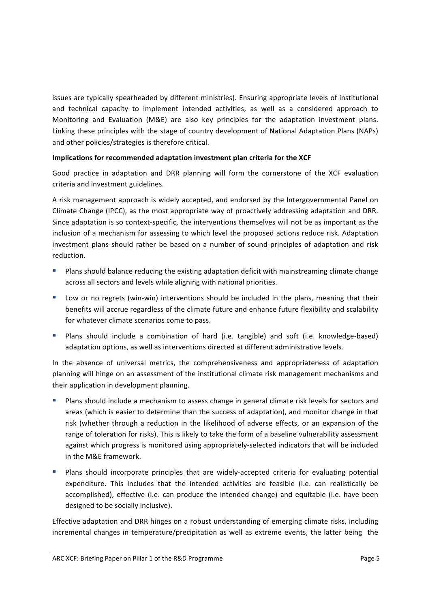issues are typically spearheaded by different ministries). Ensuring appropriate levels of institutional and technical capacity to implement intended activities, as well as a considered approach to Monitoring and Evaluation (M&E) are also key principles for the adaptation investment plans. Linking these principles with the stage of country development of National Adaptation Plans (NAPs) and other policies/strategies is therefore critical.

## **Implications for recommended adaptation investment plan criteria for the XCF**

Good practice in adaptation and DRR planning will form the cornerstone of the XCF evaluation criteria and investment guidelines.

A risk management approach is widely accepted, and endorsed by the Intergovernmental Panel on Climate Change (IPCC), as the most appropriate way of proactively addressing adaptation and DRR. Since adaptation is so context-specific, the interventions themselves will not be as important as the inclusion of a mechanism for assessing to which level the proposed actions reduce risk. Adaptation investment plans should rather be based on a number of sound principles of adaptation and risk reduction. 

- Plans should balance reducing the existing adaptation deficit with mainstreaming climate change across all sectors and levels while aligning with national priorities.
- Low or no regrets (win-win) interventions should be included in the plans, meaning that their benefits will accrue regardless of the climate future and enhance future flexibility and scalability for whatever climate scenarios come to pass.
- **•** Plans should include a combination of hard (i.e. tangible) and soft (i.e. knowledge-based) adaptation options, as well as interventions directed at different administrative levels.

In the absence of universal metrics, the comprehensiveness and appropriateness of adaptation planning will hinge on an assessment of the institutional climate risk management mechanisms and their application in development planning.

- Plans should include a mechanism to assess change in general climate risk levels for sectors and areas (which is easier to determine than the success of adaptation), and monitor change in that risk (whether through a reduction in the likelihood of adverse effects, or an expansion of the range of toleration for risks). This is likely to take the form of a baseline vulnerability assessment against which progress is monitored using appropriately-selected indicators that will be included in the M&F framework.
- **■** Plans should incorporate principles that are widely-accepted criteria for evaluating potential expenditure. This includes that the intended activities are feasible (i.e. can realistically be accomplished), effective (i.e. can produce the intended change) and equitable (i.e. have been designed to be socially inclusive).

Effective adaptation and DRR hinges on a robust understanding of emerging climate risks, including incremental changes in temperature/precipitation as well as extreme events, the latter being the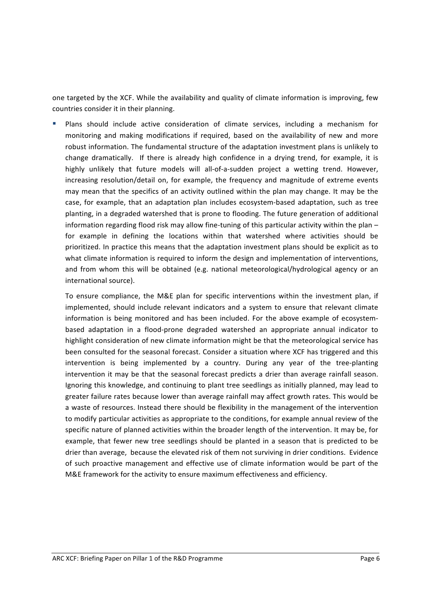one targeted by the XCF. While the availability and quality of climate information is improving, few countries consider it in their planning.

Plans should include active consideration of climate services, including a mechanism for monitoring and making modifications if required, based on the availability of new and more robust information. The fundamental structure of the adaptation investment plans is unlikely to change dramatically. If there is already high confidence in a drying trend, for example, it is highly unlikely that future models will all-of-a-sudden project a wetting trend. However, increasing resolution/detail on, for example, the frequency and magnitude of extreme events may mean that the specifics of an activity outlined within the plan may change. It may be the case, for example, that an adaptation plan includes ecosystem-based adaptation, such as tree planting, in a degraded watershed that is prone to flooding. The future generation of additional information regarding flood risk may allow fine-tuning of this particular activity within the plan  $$ for example in defining the locations within that watershed where activities should be prioritized. In practice this means that the adaptation investment plans should be explicit as to what climate information is required to inform the design and implementation of interventions, and from whom this will be obtained (e.g. national meteorological/hydrological agency or an international source).

To ensure compliance, the M&E plan for specific interventions within the investment plan, if implemented, should include relevant indicators and a system to ensure that relevant climate information is being monitored and has been included. For the above example of ecosystembased adaptation in a flood-prone degraded watershed an appropriate annual indicator to highlight consideration of new climate information might be that the meteorological service has been consulted for the seasonal forecast. Consider a situation where XCF has triggered and this intervention is being implemented by a country. During any year of the tree-planting intervention it may be that the seasonal forecast predicts a drier than average rainfall season. Ignoring this knowledge, and continuing to plant tree seedlings as initially planned, may lead to greater failure rates because lower than average rainfall may affect growth rates. This would be a waste of resources. Instead there should be flexibility in the management of the intervention to modify particular activities as appropriate to the conditions, for example annual review of the specific nature of planned activities within the broader length of the intervention. It may be, for example, that fewer new tree seedlings should be planted in a season that is predicted to be drier than average, because the elevated risk of them not surviving in drier conditions. Evidence of such proactive management and effective use of climate information would be part of the M&E framework for the activity to ensure maximum effectiveness and efficiency.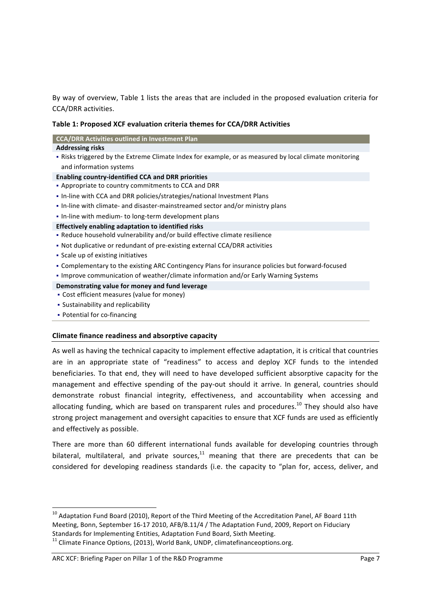By way of overview, Table 1 lists the areas that are included in the proposed evaluation criteria for CCA/DRR activities.

### **Table 1: Proposed XCF evaluation criteria themes for CCA/DRR Activities**

| <b>CCA/DRR Activities outlined in Investment Plan</b> |
|-------------------------------------------------------|
|-------------------------------------------------------|

#### **Addressing risks**

• Risks triggered by the Extreme Climate Index for example, or as measured by local climate monitoring and information systems

#### **Enabling country-identified CCA and DRR priorities**

- § Appropriate to country commitments to CCA and DRR
- In-line with CCA and DRR policies/strategies/national Investment Plans
- In-line with climate- and disaster-mainstreamed sector and/or ministry plans
- In-line with medium- to long-term development plans
- **Effectively enabling adaptation to identified risks**
- Reduce household vulnerability and/or build effective climate resilience
- Not duplicative or redundant of pre-existing external CCA/DRR activities
- Scale up of existing initiatives
- Complementary to the existing ARC Contingency Plans for insurance policies but forward-focused
- Improve communication of weather/climate information and/or Early Warning Systems

#### **Demonstrating value for money and fund leverage**

- Cost efficient measures (value for money)
- Sustainability and replicability

<u> 1989 - Johann Stein, fransk politiker (d. 1989)</u>

• Potential for co-financing

#### **Climate finance readiness and absorptive capacity**

As well as having the technical capacity to implement effective adaptation, it is critical that countries are in an appropriate state of "readiness" to access and deploy XCF funds to the intended beneficiaries. To that end, they will need to have developed sufficient absorptive capacity for the management and effective spending of the pay-out should it arrive. In general, countries should demonstrate robust financial integrity, effectiveness, and accountability when accessing and allocating funding, which are based on transparent rules and procedures.<sup>10</sup> They should also have strong project management and oversight capacities to ensure that XCF funds are used as efficiently and effectively as possible.

There are more than 60 different international funds available for developing countries through bilateral, multilateral, and private sources, $11$  meaning that there are precedents that can be considered for developing readiness standards (i.e. the capacity to "plan for, access, deliver, and

#### ARC XCF: Briefing Paper on Pillar 1 of the R&D Programme Page 7

 $10$  Adaptation Fund Board (2010), Report of the Third Meeting of the Accreditation Panel, AF Board 11th Meeting, Bonn, September 16-17 2010, AFB/B.11/4 / The Adaptation Fund, 2009, Report on Fiduciary Standards for Implementing Entities, Adaptation Fund Board, Sixth Meeting.<br><sup>11</sup> Climate Finance Options, (2013), World Bank, UNDP, climatefinanceoptions.org.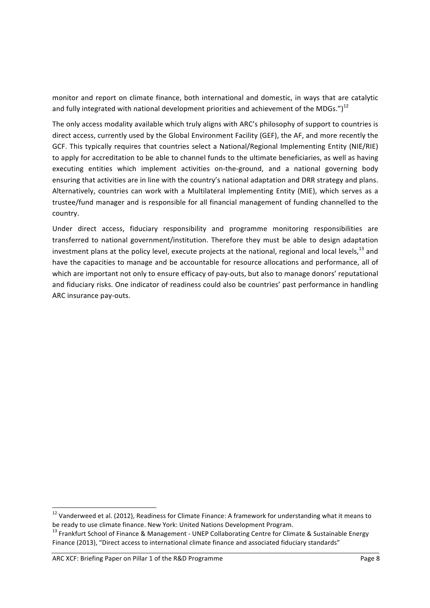monitor and report on climate finance, both international and domestic, in ways that are catalytic and fully integrated with national development priorities and achievement of the MDGs.")<sup>12</sup>

The only access modality available which truly aligns with ARC's philosophy of support to countries is direct access, currently used by the Global Environment Facility (GEF), the AF, and more recently the GCF. This typically requires that countries select a National/Regional Implementing Entity (NIE/RIE) to apply for accreditation to be able to channel funds to the ultimate beneficiaries, as well as having executing entities which implement activities on-the-ground, and a national governing body ensuring that activities are in line with the country's national adaptation and DRR strategy and plans. Alternatively, countries can work with a Multilateral Implementing Entity (MIE), which serves as a trustee/fund manager and is responsible for all financial management of funding channelled to the country.

Under direct access, fiduciary responsibility and programme monitoring responsibilities are transferred to national government/institution. Therefore they must be able to design adaptation investment plans at the policy level, execute projects at the national, regional and local levels,  $^{13}$  and have the capacities to manage and be accountable for resource allocations and performance, all of which are important not only to ensure efficacy of pay-outs, but also to manage donors' reputational and fiduciary risks. One indicator of readiness could also be countries' past performance in handling ARC insurance pay-outs.

 $12$  Vanderweed et al. (2012), Readiness for Climate Finance: A framework for understanding what it means to be ready to use climate finance. New York: United Nations Development Program.<br><sup>13</sup> Frankfurt School of Finance & Management - UNEP Collaborating Centre for Climate & Sustainable Energy

Finance (2013), "Direct access to international climate finance and associated fiduciary standards"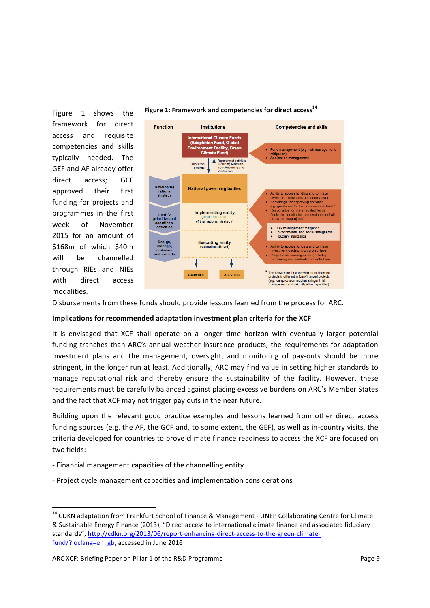Figure 1 shows the framework for direct access and requisite competencies and skills typically needed. The GEF and AF already offer direct access; GCF approved their first funding for projects and programmes in the first week of November 2015 for an amount of \$168m of which \$40m will be channelled through RIEs and NIEs with direct access modalities. 





Disbursements from these funds should provide lessons learned from the process for ARC.

## **Implications for recommended adaptation investment plan criteria for the XCF**

It is envisaged that XCF shall operate on a longer time horizon with eventually larger potential funding tranches than ARC's annual weather insurance products, the requirements for adaptation investment plans and the management, oversight, and monitoring of pay-outs should be more stringent, in the longer run at least. Additionally, ARC may find value in setting higher standards to manage reputational risk and thereby ensure the sustainability of the facility. However, these requirements must be carefully balanced against placing excessive burdens on ARC's Member States and the fact that XCF may not trigger pay outs in the near future.

Building upon the relevant good practice examples and lessons learned from other direct access funding sources (e.g. the AF, the GCF and, to some extent, the GEF), as well as in-country visits, the criteria developed for countries to prove climate finance readiness to access the XCF are focused on two fields: 

- Financial management capacities of the channelling entity
- Project cycle management capacities and implementation considerations

<sup>&</sup>lt;sup>14</sup> CDKN adaptation from Frankfurt School of Finance & Management - UNEP Collaborating Centre for Climate & Sustainable Energy Finance (2013), "Direct access to international climate finance and associated fiduciary standards"; http://cdkn.org/2013/06/report-enhancing-direct-access-to-the-green-climatefund/?loclang=en\_gb, accessed in June 2016

ARC XCF: Briefing Paper on Pillar 1 of the R&D Programme Page 9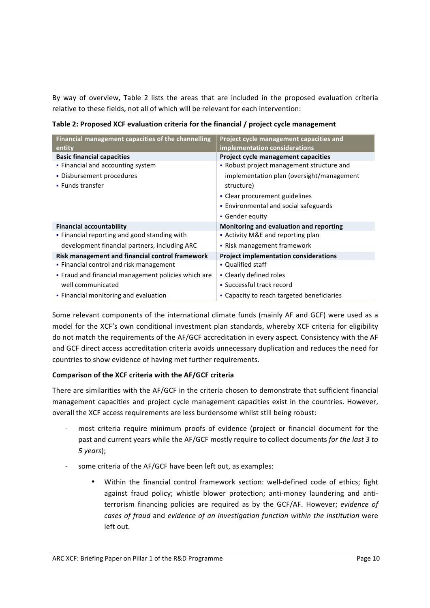By way of overview, Table 2 lists the areas that are included in the proposed evaluation criteria relative to these fields, not all of which will be relevant for each intervention:

| Financial management capacities of the channelling  | Project cycle management capacities and      |
|-----------------------------------------------------|----------------------------------------------|
| entity                                              | implementation considerations                |
| <b>Basic financial capacities</b>                   | Project cycle management capacities          |
| • Financial and accounting system                   | • Robust project management structure and    |
| • Disbursement procedures                           | implementation plan (oversight/management    |
| • Funds transfer                                    | structure)                                   |
|                                                     | • Clear procurement guidelines               |
|                                                     | • Environmental and social safeguards        |
|                                                     | • Gender equity                              |
| <b>Financial accountability</b>                     | Monitoring and evaluation and reporting      |
| • Financial reporting and good standing with        | • Activity M&E and reporting plan            |
| development financial partners, including ARC       | • Risk management framework                  |
| Risk management and financial control framework     | <b>Project implementation considerations</b> |
| • Financial control and risk management             | • Qualified staff                            |
| • Fraud and financial management policies which are | • Clearly defined roles                      |
| well communicated                                   | • Successful track record                    |
| • Financial monitoring and evaluation               | • Capacity to reach targeted beneficiaries   |

**Table 2: Proposed XCF evaluation criteria for the financial / project cycle management** 

Some relevant components of the international climate funds (mainly AF and GCF) were used as a model for the XCF's own conditional investment plan standards, whereby XCF criteria for eligibility do not match the requirements of the AF/GCF accreditation in every aspect. Consistency with the AF and GCF direct access accreditation criteria avoids unnecessary duplication and reduces the need for countries to show evidence of having met further requirements.

## **Comparison of the XCF criteria with the AF/GCF criteria**

There are similarities with the AF/GCF in the criteria chosen to demonstrate that sufficient financial management capacities and project cycle management capacities exist in the countries. However, overall the XCF access requirements are less burdensome whilst still being robust:

- most criteria require minimum proofs of evidence (project or financial document for the past and current years while the AF/GCF mostly require to collect documents *for the last 3 to 5 years*);
- some criteria of the AF/GCF have been left out, as examples:
	- Within the financial control framework section: well-defined code of ethics; fight against fraud policy; whistle blower protection; anti-money laundering and antiterrorism financing policies are required as by the GCF/AF. However; *evidence of* cases of fraud and evidence of an investigation function within the institution were left out.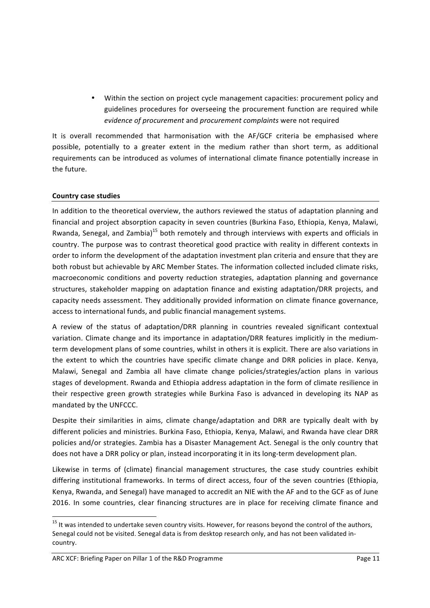• Within the section on project cycle management capacities: procurement policy and guidelines procedures for overseeing the procurement function are required while *evidence of procurement* and *procurement complaints* were not required

It is overall recommended that harmonisation with the AF/GCF criteria be emphasised where possible, potentially to a greater extent in the medium rather than short term, as additional requirements can be introduced as volumes of international climate finance potentially increase in the future.

## **Country case studies**

In addition to the theoretical overview, the authors reviewed the status of adaptation planning and financial and project absorption capacity in seven countries (Burkina Faso, Ethiopia, Kenya, Malawi, Rwanda, Senegal, and Zambia)<sup>15</sup> both remotely and through interviews with experts and officials in country. The purpose was to contrast theoretical good practice with reality in different contexts in order to inform the development of the adaptation investment plan criteria and ensure that they are both robust but achievable by ARC Member States. The information collected included climate risks, macroeconomic conditions and poverty reduction strategies, adaptation planning and governance structures, stakeholder mapping on adaptation finance and existing adaptation/DRR projects, and capacity needs assessment. They additionally provided information on climate finance governance, access to international funds, and public financial management systems.

A review of the status of adaptation/DRR planning in countries revealed significant contextual variation. Climate change and its importance in adaptation/DRR features implicitly in the mediumterm development plans of some countries, whilst in others it is explicit. There are also variations in the extent to which the countries have specific climate change and DRR policies in place. Kenya, Malawi, Senegal and Zambia all have climate change policies/strategies/action plans in various stages of development. Rwanda and Ethiopia address adaptation in the form of climate resilience in their respective green growth strategies while Burkina Faso is advanced in developing its NAP as mandated by the UNFCCC.

Despite their similarities in aims, climate change/adaptation and DRR are typically dealt with by different policies and ministries. Burkina Faso, Ethiopia, Kenya, Malawi, and Rwanda have clear DRR policies and/or strategies. Zambia has a Disaster Management Act. Senegal is the only country that does not have a DRR policy or plan, instead incorporating it in its long-term development plan.

Likewise in terms of (climate) financial management structures, the case study countries exhibit differing institutional frameworks. In terms of direct access, four of the seven countries (Ethiopia, Kenya, Rwanda, and Senegal) have managed to accredit an NIE with the AF and to the GCF as of June 2016. In some countries, clear financing structures are in place for receiving climate finance and

 $15$  It was intended to undertake seven country visits. However, for reasons beyond the control of the authors, Senegal could not be visited. Senegal data is from desktop research only, and has not been validated incountry.

ARC XCF: Briefing Paper on Pillar 1 of the R&D Programme Page 11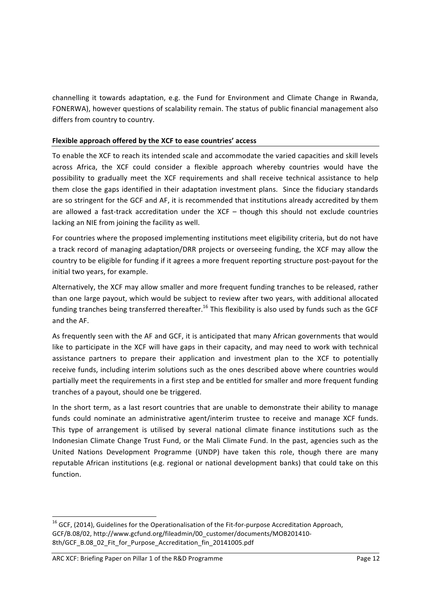channelling it towards adaptation, e.g. the Fund for Environment and Climate Change in Rwanda, FONERWA), however questions of scalability remain. The status of public financial management also differs from country to country.

## Flexible approach offered by the XCF to ease countries' access

To enable the XCF to reach its intended scale and accommodate the varied capacities and skill levels across Africa, the XCF could consider a flexible approach whereby countries would have the possibility to gradually meet the XCF requirements and shall receive technical assistance to help them close the gaps identified in their adaptation investment plans. Since the fiduciary standards are so stringent for the GCF and AF, it is recommended that institutions already accredited by them are allowed a fast-track accreditation under the  $XCF -$  though this should not exclude countries lacking an NIE from joining the facility as well.

For countries where the proposed implementing institutions meet eligibility criteria, but do not have a track record of managing adaptation/DRR projects or overseeing funding, the XCF may allow the country to be eligible for funding if it agrees a more frequent reporting structure post-payout for the initial two years, for example.

Alternatively, the XCF may allow smaller and more frequent funding tranches to be released, rather than one large payout, which would be subject to review after two years, with additional allocated funding tranches being transferred thereafter.<sup>16</sup> This flexibility is also used by funds such as the GCF and the AF.

As frequently seen with the AF and GCF, it is anticipated that many African governments that would like to participate in the XCF will have gaps in their capacity, and may need to work with technical assistance partners to prepare their application and investment plan to the XCF to potentially receive funds, including interim solutions such as the ones described above where countries would partially meet the requirements in a first step and be entitled for smaller and more frequent funding tranches of a payout, should one be triggered.

In the short term, as a last resort countries that are unable to demonstrate their ability to manage funds could nominate an administrative agent/interim trustee to receive and manage XCF funds. This type of arrangement is utilised by several national climate finance institutions such as the Indonesian Climate Change Trust Fund, or the Mali Climate Fund. In the past, agencies such as the United Nations Development Programme (UNDP) have taken this role, though there are many reputable African institutions (e.g. regional or national development banks) that could take on this function. 

 $16$  GCF, (2014), Guidelines for the Operationalisation of the Fit-for-purpose Accreditation Approach, GCF/B.08/02, http://www.gcfund.org/fileadmin/00\_customer/documents/MOB201410-8th/GCF\_B.08\_02\_Fit\_for\_Purpose\_Accreditation\_fin\_20141005.pdf

ARC XCF: Briefing Paper on Pillar 1 of the R&D Programme Page 12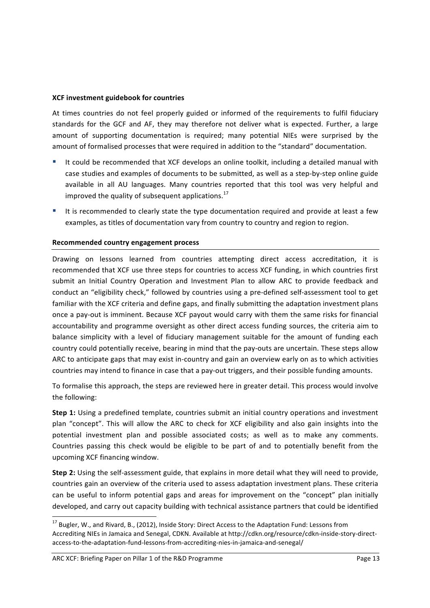## **XCF investment guidebook for countries**

At times countries do not feel properly guided or informed of the requirements to fulfil fiduciary standards for the GCF and AF, they may therefore not deliver what is expected. Further, a large amount of supporting documentation is required; many potential NIEs were surprised by the amount of formalised processes that were required in addition to the "standard" documentation.

- It could be recommended that XCF develops an online toolkit, including a detailed manual with case studies and examples of documents to be submitted, as well as a step-by-step online guide available in all AU languages. Many countries reported that this tool was very helpful and improved the quality of subsequent applications.<sup>17</sup>
- It is recommended to clearly state the type documentation required and provide at least a few examples, as titles of documentation vary from country to country and region to region.

## **Recommended country engagement process**

Drawing on lessons learned from countries attempting direct access accreditation, it is recommended that XCF use three steps for countries to access XCF funding, in which countries first submit an Initial Country Operation and Investment Plan to allow ARC to provide feedback and conduct an "eligibility check," followed by countries using a pre-defined self-assessment tool to get familiar with the XCF criteria and define gaps, and finally submitting the adaptation investment plans once a pay-out is imminent. Because XCF payout would carry with them the same risks for financial accountability and programme oversight as other direct access funding sources, the criteria aim to balance simplicity with a level of fiduciary management suitable for the amount of funding each country could potentially receive, bearing in mind that the pay-outs are uncertain. These steps allow ARC to anticipate gaps that may exist in-country and gain an overview early on as to which activities countries may intend to finance in case that a pay-out triggers, and their possible funding amounts.

To formalise this approach, the steps are reviewed here in greater detail. This process would involve the following:

**Step 1:** Using a predefined template, countries submit an initial country operations and investment plan "concept". This will allow the ARC to check for XCF eligibility and also gain insights into the potential investment plan and possible associated costs; as well as to make any comments. Countries passing this check would be eligible to be part of and to potentially benefit from the upcoming XCF financing window.

**Step 2:** Using the self-assessment guide, that explains in more detail what they will need to provide, countries gain an overview of the criteria used to assess adaptation investment plans. These criteria can be useful to inform potential gaps and areas for improvement on the "concept" plan initially developed, and carry out capacity building with technical assistance partners that could be identified

<sup>&</sup>lt;sup>17</sup> Bugler, W., and Rivard, B., (2012), Inside Story: Direct Access to the Adaptation Fund: Lessons from Accrediting NIEs in Jamaica and Senegal, CDKN. Available at http://cdkn.org/resource/cdkn-inside-story-directaccess-to-the-adaptation-fund-lessons-from-accrediting-nies-in-jamaica-and-senegal/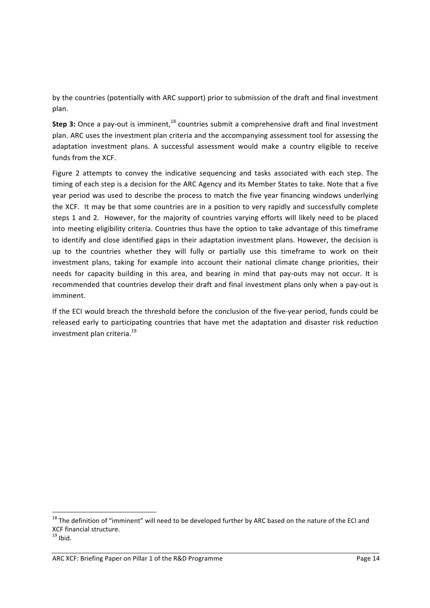by the countries (potentially with ARC support) prior to submission of the draft and final investment plan.

**Step 3:** Once a pay-out is imminent,<sup>18</sup> countries submit a comprehensive draft and final investment plan. ARC uses the investment plan criteria and the accompanying assessment tool for assessing the adaptation investment plans. A successful assessment would make a country eligible to receive funds from the XCF.

Figure 2 attempts to convey the indicative sequencing and tasks associated with each step. The timing of each step is a decision for the ARC Agency and its Member States to take. Note that a five year period was used to describe the process to match the five year financing windows underlying the XCF. It may be that some countries are in a position to very rapidly and successfully complete steps 1 and 2. However, for the majority of countries varying efforts will likely need to be placed into meeting eligibility criteria. Countries thus have the option to take advantage of this timeframe to identify and close identified gaps in their adaptation investment plans. However, the decision is up to the countries whether they will fully or partially use this timeframe to work on their investment plans, taking for example into account their national climate change priorities, their needs for capacity building in this area, and bearing in mind that pay-outs may not occur. It is recommended that countries develop their draft and final investment plans only when a pay-out is imminent.

If the ECI would breach the threshold before the conclusion of the five-year period, funds could be released early to participating countries that have met the adaptation and disaster risk reduction investment plan criteria.<sup>19</sup>

 $18$  The definition of "imminent" will need to be developed further by ARC based on the nature of the ECI and XCF financial structure.

 $19$  Ibid.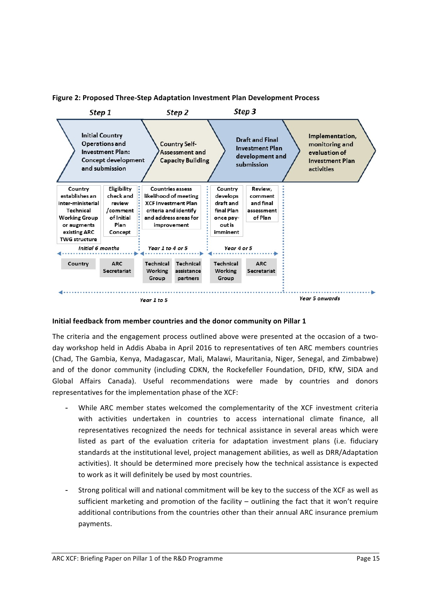



## **Initial feedback from member countries and the donor community on Pillar 1**

The criteria and the engagement process outlined above were presented at the occasion of a twoday workshop held in Addis Ababa in April 2016 to representatives of ten ARC members countries (Chad, The Gambia, Kenya, Madagascar, Mali, Malawi, Mauritania, Niger, Senegal, and Zimbabwe) and of the donor community (including CDKN, the Rockefeller Foundation, DFID, KfW, SIDA and Global Affairs Canada). Useful recommendations were made by countries and donors representatives for the implementation phase of the XCF:

- While ARC member states welcomed the complementarity of the XCF investment criteria with activities undertaken in countries to access international climate finance, all representatives recognized the needs for technical assistance in several areas which were listed as part of the evaluation criteria for adaptation investment plans (i.e. fiduciary standards at the institutional level, project management abilities, as well as DRR/Adaptation activities). It should be determined more precisely how the technical assistance is expected to work as it will definitely be used by most countries.
- Strong political will and national commitment will be key to the success of the XCF as well as sufficient marketing and promotion of the facility – outlining the fact that it won't require additional contributions from the countries other than their annual ARC insurance premium payments.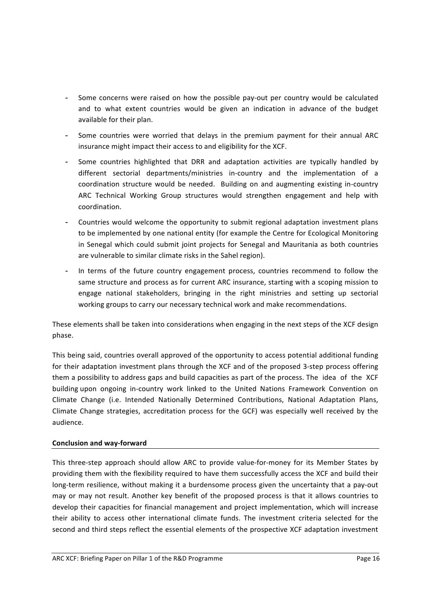- Some concerns were raised on how the possible pay-out per country would be calculated and to what extent countries would be given an indication in advance of the budget available for their plan.
- Some countries were worried that delays in the premium payment for their annual ARC insurance might impact their access to and eligibility for the XCF.
- Some countries highlighted that DRR and adaptation activities are typically handled by different sectorial departments/ministries in-country and the implementation of a coordination structure would be needed. Building on and augmenting existing in-country ARC Technical Working Group structures would strengthen engagement and help with coordination.
- Countries would welcome the opportunity to submit regional adaptation investment plans to be implemented by one national entity (for example the Centre for Ecological Monitoring in Senegal which could submit joint projects for Senegal and Mauritania as both countries are vulnerable to similar climate risks in the Sahel region).
- In terms of the future country engagement process, countries recommend to follow the same structure and process as for current ARC insurance, starting with a scoping mission to engage national stakeholders, bringing in the right ministries and setting up sectorial working groups to carry our necessary technical work and make recommendations.

These elements shall be taken into considerations when engaging in the next steps of the XCF design phase. 

This being said, countries overall approved of the opportunity to access potential additional funding for their adaptation investment plans through the XCF and of the proposed 3-step process offering them a possibility to address gaps and build capacities as part of the process. The idea of the XCF building upon ongoing in-country work linked to the United Nations Framework Convention on Climate Change (i.e. Intended Nationally Determined Contributions, National Adaptation Plans, Climate Change strategies, accreditation process for the GCF) was especially well received by the audience.

## **Conclusion and way-forward**

This three-step approach should allow ARC to provide value-for-money for its Member States by providing them with the flexibility required to have them successfully access the XCF and build their long-term resilience, without making it a burdensome process given the uncertainty that a pay-out may or may not result. Another key benefit of the proposed process is that it allows countries to develop their capacities for financial management and project implementation, which will increase their ability to access other international climate funds. The investment criteria selected for the second and third steps reflect the essential elements of the prospective XCF adaptation investment